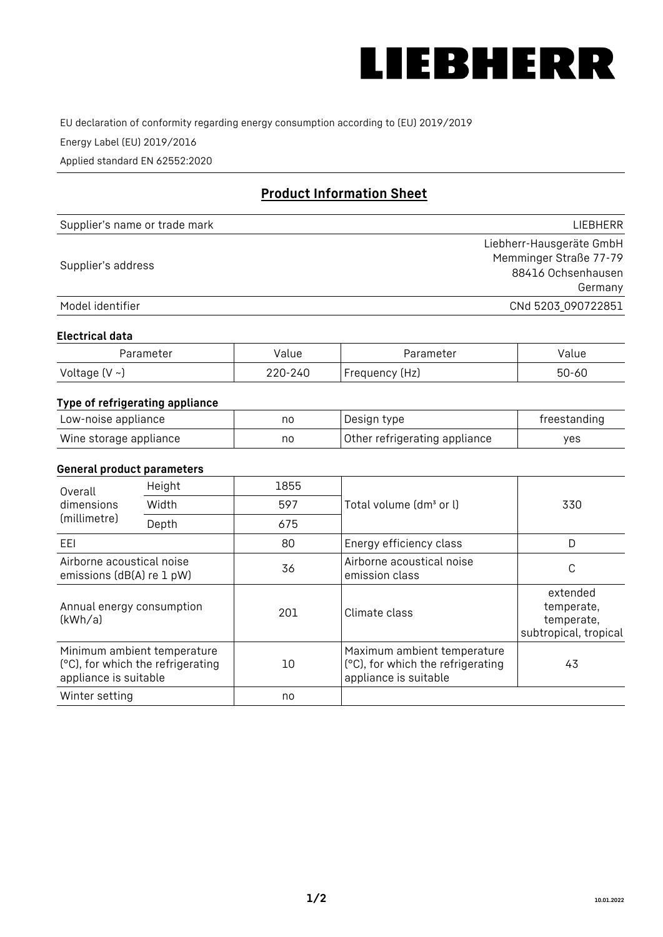

EU declaration of conformity regarding energy consumption according to (EU) 2019/2019

Energy Label (EU) 2019/2016

Applied standard EN 62552:2020

# **Product Information Sheet**

| Supplier's name or trade mark | <b>LIFBHFRR</b>          |
|-------------------------------|--------------------------|
|                               | Liebherr-Hausgeräte GmbH |
| Supplier's address            | Memminger Straße 77-79   |
|                               | 88416 Ochsenhausen       |
|                               | Germany                  |
| Model identifier              | CNd 5203_090722851       |

#### **Electrical data**

| Parameter           | Value   | Parameter      | alue/     |
|---------------------|---------|----------------|-----------|
| Voltage (V $\sim$ ) | 220-240 | Frequency (Hz) | $50 - 60$ |

## **Type of refrigerating appliance**

| Low-noise appliance    | nc | Design type                   | freestanding |
|------------------------|----|-------------------------------|--------------|
| Wine storage appliance | nc | Other refrigerating appliance | ves          |

#### **General product parameters**

| Overall<br>dimensions<br>(millimetre)                  | Height                                                           | 1855 |                                                                                           | 330                                                           |
|--------------------------------------------------------|------------------------------------------------------------------|------|-------------------------------------------------------------------------------------------|---------------------------------------------------------------|
|                                                        | Width                                                            | 597  | Total volume (dm <sup>3</sup> or l)                                                       |                                                               |
|                                                        | Depth                                                            | 675  |                                                                                           |                                                               |
| EEL                                                    |                                                                  | 80   | Energy efficiency class                                                                   | D                                                             |
| Airborne acoustical noise<br>emissions (dB(A) re 1 pW) |                                                                  | 36   | Airborne acoustical noise<br>emission class                                               | С                                                             |
| Annual energy consumption<br>(kWh/a)                   |                                                                  | 201  | Climate class                                                                             | extended<br>temperate,<br>temperate,<br>subtropical, tropical |
| appliance is suitable                                  | Minimum ambient temperature<br>(°C), for which the refrigerating | 10   | Maximum ambient temperature<br>(°C), for which the refrigerating<br>appliance is suitable | 43                                                            |
| Winter setting                                         |                                                                  | no   |                                                                                           |                                                               |